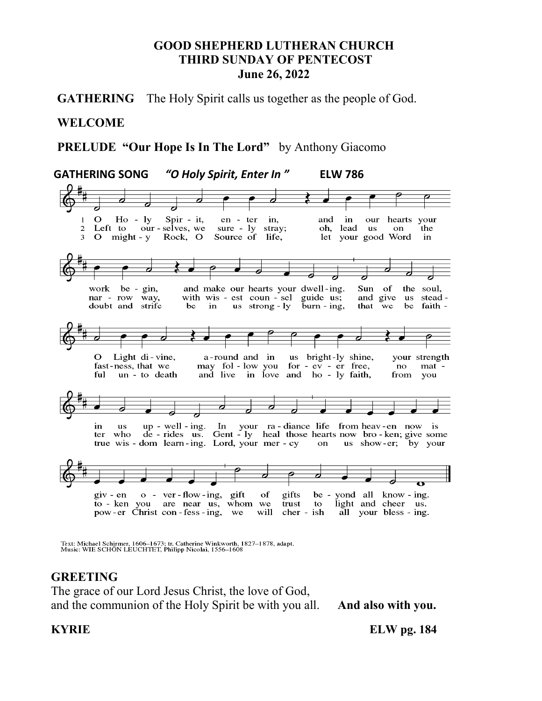#### **GOOD SHEPHERD LUTHERAN CHURCH THIRD SUNDAY OF PENTECOST June 26, 2022**

**GATHERING** The Holy Spirit calls us together as the people of God.

#### **WELCOME**

 **PRELUDE "Our Hope Is In The Lord"** by Anthony Giacomo

 **GATHERING SONG** *"O Holy Spirit, Enter In "* **ELW 786**   $\mathbf{O}$  $Ho - ly$ Spir - it, in en - ter in, and our hearts your Left to our-selves, we sure - ly stray;  $\overline{2}$ oh, lead **us** on the 3 O might - y Rock, O Source of life, let your good Word in be - gin, and make our hearts your dwell-ing. Sun of work the soul, nar - row way, with wis - est coun - sel guide us; and give us steaddoubt and strife us strong - ly  $\bar{b}$ urn - ing, that we be faith be in O Light di-vine, a-round and in us bright-ly shine, your strength fast-ness, that we may fol - low you for - ev - er free, no mat ful un - to death and live in love and ho - ly faith, from you up - well - ing. In your ra-diance life from heav-en now is<br>de - rides us. Gent - ly heal those hearts now bro-ken; give some in. **us** ter who true wis - dom learn-ing. Lord, your mer - cy us show-er; by your on  $giv - en$  $o$  - ver-flow-ing, gift of gifts be yond all know - ing.  $\frac{1}{2}$  to - ken you are near us, whom we light and cheer us. trust to pow-er Christ con-fess-ing, we will cher - ish all your bless - ing.

Text: Michael Schirmer, 1606-1673; tr. Catherine Winkworth, 1827-1878, adapt.<br>Music: WIE SCHÖN LEUCHTET, Philipp Nicolai, 1556-1608

# **GREETING**

The grace of our Lord Jesus Christ, the love of God, and the communion of the Holy Spirit be with you all. **And also with you.** 

**KYRIE** ELW pg. 184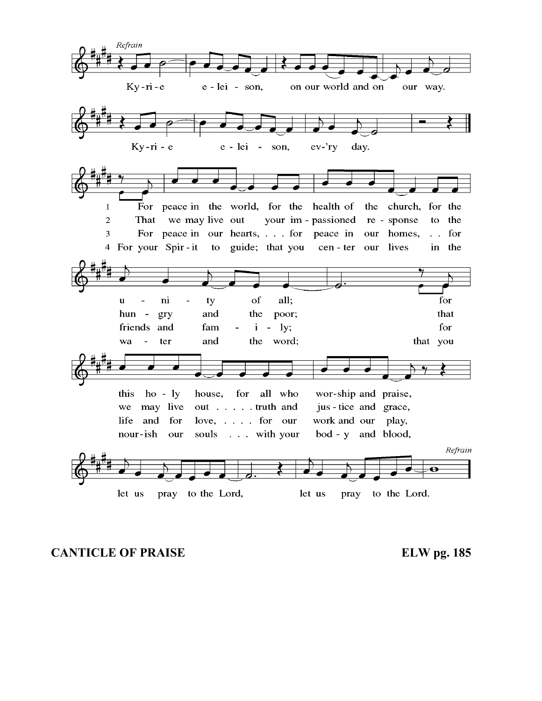

**CANTICLE OF PRAISE ELW pg. 185**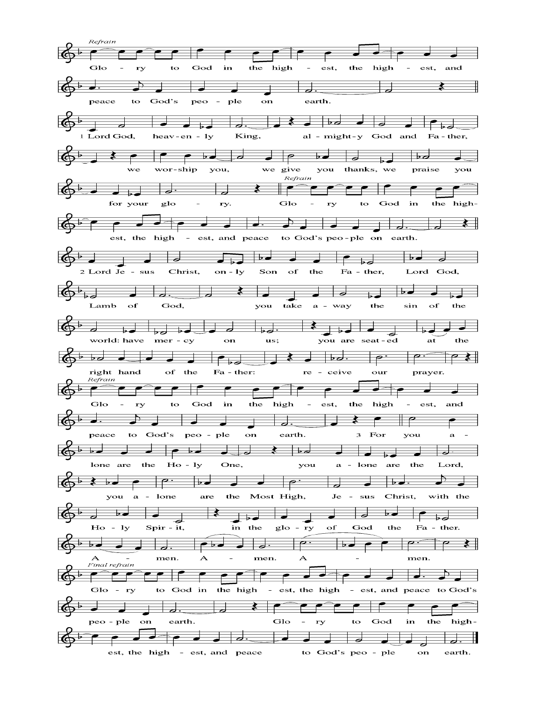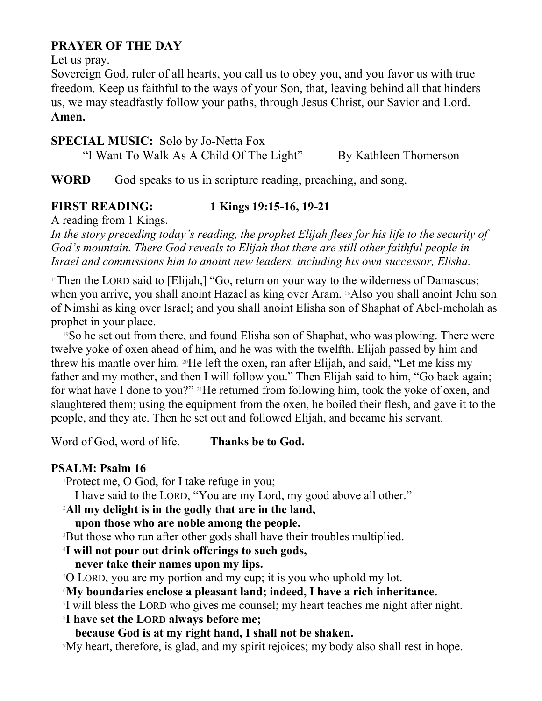# **PRAYER OF THE DAY**

Let us pray.

Sovereign God, ruler of all hearts, you call us to obey you, and you favor us with true freedom. Keep us faithful to the ways of your Son, that, leaving behind all that hinders us, we may steadfastly follow your paths, through Jesus Christ, our Savior and Lord. **Amen.** 

# **SPECIAL MUSIC:** Solo by Jo-Netta Fox

"I Want To Walk As A Child Of The Light" By Kathleen Thomerson

**WORD** God speaks to us in scripture reading, preaching, and song.

# **FIRST READING: 1 Kings 19:15-16, 19-21**

A reading from 1 Kings.

*In the story preceding today's reading, the prophet Elijah flees for his life to the security of God's mountain. There God reveals to Elijah that there are still other faithful people in Israel and commissions him to anoint new leaders, including his own successor, Elisha.* 

 $15$ Then the LORD said to [Elijah,] "Go, return on your way to the wilderness of Damascus; when you arrive, you shall anoint Hazael as king over Aram. 16Also you shall anoint Jehu son of Nimshi as king over Israel; and you shall anoint Elisha son of Shaphat of Abel-meholah as prophet in your place.

<sup>19</sup>So he set out from there, and found Elisha son of Shaphat, who was plowing. There were twelve yoke of oxen ahead of him, and he was with the twelfth. Elijah passed by him and threw his mantle over him. 20He left the oxen, ran after Elijah, and said, "Let me kiss my father and my mother, and then I will follow you." Then Elijah said to him, "Go back again; for what have I done to you?" 21He returned from following him, took the yoke of oxen, and slaughtered them; using the equipment from the oxen, he boiled their flesh, and gave it to the people, and they ate. Then he set out and followed Elijah, and became his servant.

Word of God, word of life. **Thanks be to God.**

# **PSALM: Psalm 16**

<sup>1</sup>Protect me, O God, for I take refuge in you;

I have said to the LORD, "You are my Lord, my good above all other."

<sup>2</sup>**All my delight is in the godly that are in the land,**

**upon those who are noble among the people.**

<sup>3</sup>But those who run after other gods shall have their troubles multiplied.

<sup>4</sup>**I will not pour out drink offerings to such gods,**

**never take their names upon my lips.** 

<sup>5</sup>O LORD, you are my portion and my cup; it is you who uphold my lot.

# <sup>6</sup>**My boundaries enclose a pleasant land; indeed, I have a rich inheritance.**

7 I will bless the LORD who gives me counsel; my heart teaches me night after night.

# <sup>8</sup>**I have set the LORD always before me;**

**because God is at my right hand, I shall not be shaken.** 

9My heart, therefore, is glad, and my spirit rejoices; my body also shall rest in hope.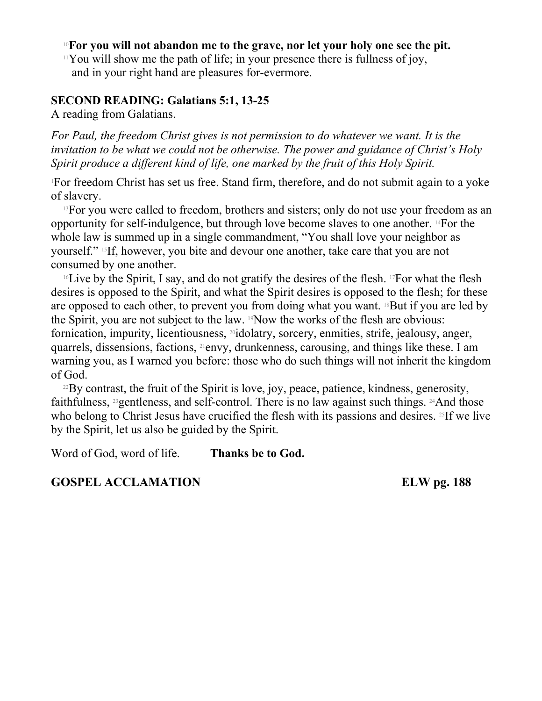#### <sup>10</sup>**For you will not abandon me to the grave, nor let your holy one see the pit.**

 $11$ You will show me the path of life; in your presence there is fullness of joy, and in your right hand are pleasures for-evermore.

#### **SECOND READING: Galatians 5:1, 13-25**

A reading from Galatians.

*For Paul, the freedom Christ gives is not permission to do whatever we want. It is the invitation to be what we could not be otherwise. The power and guidance of Christ's Holy Spirit produce a different kind of life, one marked by the fruit of this Holy Spirit.* 

<sup>1</sup>For freedom Christ has set us free. Stand firm, therefore, and do not submit again to a yoke of slavery.

<sup>13</sup>For you were called to freedom, brothers and sisters; only do not use your freedom as an opportunity for self-indulgence, but through love become slaves to one another. 14For the whole law is summed up in a single commandment, "You shall love your neighbor as yourself." 15If, however, you bite and devour one another, take care that you are not consumed by one another.

<sup>16</sup>Live by the Spirit, I say, and do not gratify the desires of the flesh. <sup>17</sup>For what the flesh desires is opposed to the Spirit, and what the Spirit desires is opposed to the flesh; for these are opposed to each other, to prevent you from doing what you want. <sup>18</sup>But if you are led by the Spirit, you are not subject to the law. 19Now the works of the flesh are obvious: fornication, impurity, licentiousness, <sup>20</sup>idolatry, sorcery, enmities, strife, jealousy, anger, quarrels, dissensions, factions, 21envy, drunkenness, carousing, and things like these. I am warning you, as I warned you before: those who do such things will not inherit the kingdom of God.

 $^{22}$ By contrast, the fruit of the Spirit is love, joy, peace, patience, kindness, generosity, faithfulness, <sup>23</sup>gentleness, and self-control. There is no law against such things. <sup>24</sup>And those who belong to Christ Jesus have crucified the flesh with its passions and desires. <sup>25</sup>If we live by the Spirit, let us also be guided by the Spirit.

Word of God, word of life. **Thanks be to God.**

**GOSPEL ACCLAMATION ELW pg. 188**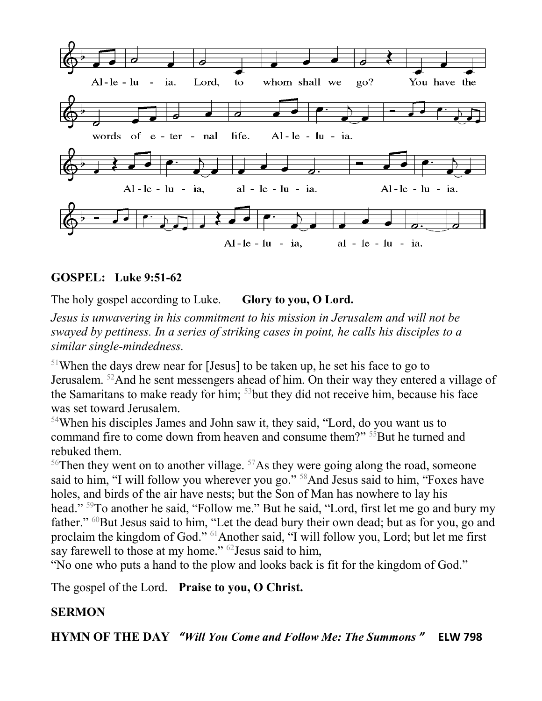

#### **GOSPEL: Luke 9:51-62**

The holy gospel according to Luke. **Glory to you, O Lord.** 

*Jesus is unwavering in his commitment to his mission in Jerusalem and will not be swayed by pettiness. In a series of striking cases in point, he calls his disciples to a similar single-mindedness.* 

<sup>51</sup>When the days drew near for [Jesus] to be taken up, he set his face to go to Jerusalem. <sup>52</sup>And he sent messengers ahead of him. On their way they entered a village of the Samaritans to make ready for him; <sup>53</sup>but they did not receive him, because his face was set toward Jerusalem.

<sup>54</sup>When his disciples James and John saw it, they said, "Lord, do you want us to command fire to come down from heaven and consume them?" <sup>55</sup>But he turned and rebuked them.

<sup>56</sup>Then they went on to another village.  $57$ As they were going along the road, someone said to him, "I will follow you wherever you go." <sup>58</sup>And Jesus said to him, "Foxes have holes, and birds of the air have nests; but the Son of Man has nowhere to lay his head." <sup>59</sup>To another he said, "Follow me." But he said, "Lord, first let me go and bury my father." <sup>60</sup>But Jesus said to him, "Let the dead bury their own dead; but as for you, go and proclaim the kingdom of God." <sup>61</sup>Another said, "I will follow you, Lord; but let me first say farewell to those at my home." <sup>62</sup> Jesus said to him,

"No one who puts a hand to the plow and looks back is fit for the kingdom of God."

The gospel of the Lord. **Praise to you, O Christ.** 

#### **SERMON**

**HYMN OF THE DAY** *"Will You Come and Follow Me: The Summons "* **ELW 798**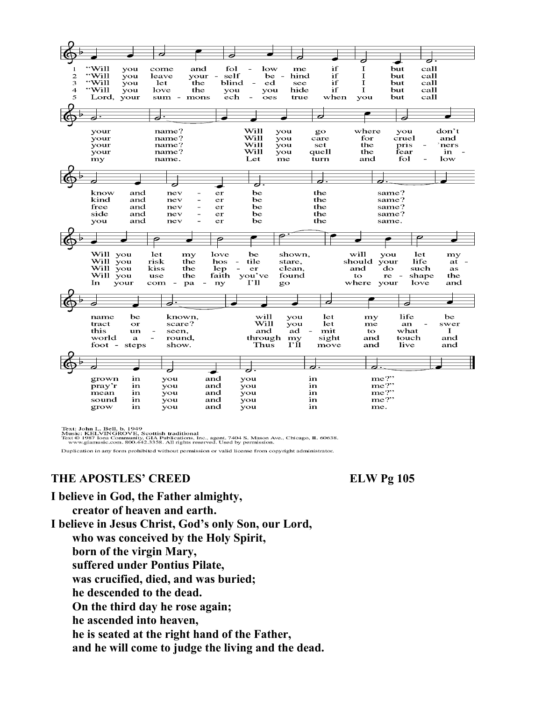

Text: John L. Bell, b. 1949<br>Music: KELVINGROVE, Scottish traditional<br>Text © 1987 Jona Community, GIA Publications, Inc., agent. 7404 S. Mason Ave., Chicago, IL 60638.<br>www.giamusic.com. 800.442.3358. All rights reserved. Us

Duplication in any form prohibited without permission or valid license from copyright administrator.

#### THE APOSTLES' CREED ELW Pg 105

**I believe in God, the Father almighty,**

**creator of heaven and earth.**

**I believe in Jesus Christ, God's only Son, our Lord, who was conceived by the Holy Spirit, born of the virgin Mary, suffered under Pontius Pilate, was crucified, died, and was buried; he descended to the dead. On the third day he rose again; he ascended into heaven, he is seated at the right hand of the Father, and he will come to judge the living and the dead.**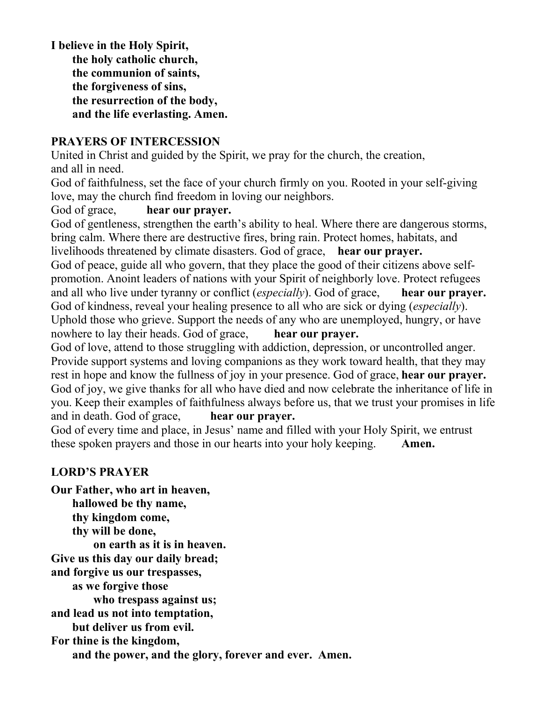**I believe in the Holy Spirit, the holy catholic church, the communion of saints, the forgiveness of sins, the resurrection of the body, and the life everlasting. Amen.** 

#### **PRAYERS OF INTERCESSION**

United in Christ and guided by the Spirit, we pray for the church, the creation, and all in need.

God of faithfulness, set the face of your church firmly on you. Rooted in your self-giving love, may the church find freedom in loving our neighbors.

God of grace, **hear our prayer.**

God of gentleness, strengthen the earth's ability to heal. Where there are dangerous storms, bring calm. Where there are destructive fires, bring rain. Protect homes, habitats, and livelihoods threatened by climate disasters. God of grace, **hear our prayer.** God of peace, guide all who govern, that they place the good of their citizens above selfpromotion. Anoint leaders of nations with your Spirit of neighborly love. Protect refugees and all who live under tyranny or conflict (*especially*). God of grace, **hear our prayer.** God of kindness, reveal your healing presence to all who are sick or dying (*especially*). Uphold those who grieve. Support the needs of any who are unemployed, hungry, or have nowhere to lay their heads. God of grace, **hear our prayer.**

God of love, attend to those struggling with addiction, depression, or uncontrolled anger. Provide support systems and loving companions as they work toward health, that they may rest in hope and know the fullness of joy in your presence. God of grace, **hear our prayer.** God of joy, we give thanks for all who have died and now celebrate the inheritance of life in you. Keep their examples of faithfulness always before us, that we trust your promises in life and in death. God of grace, **hear our prayer.**

God of every time and place, in Jesus' name and filled with your Holy Spirit, we entrust these spoken prayers and those in our hearts into your holy keeping. **Amen.** 

#### **LORD'S PRAYER**

**Our Father, who art in heaven, hallowed be thy name, thy kingdom come, thy will be done, on earth as it is in heaven. Give us this day our daily bread; and forgive us our trespasses, as we forgive those who trespass against us; and lead us not into temptation, but deliver us from evil. For thine is the kingdom, and the power, and the glory, forever and ever. Amen.**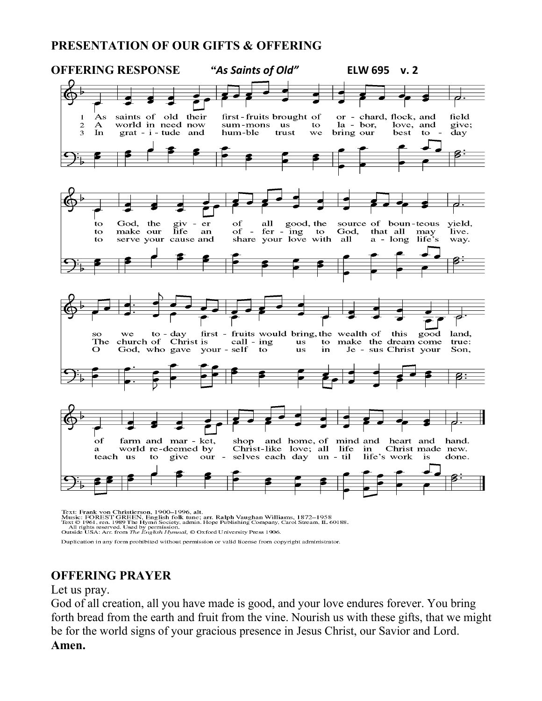#### **PRESENTATION OF OUR GIFTS & OFFERING**



Duplication in any form prohibited without permission or valid license from copyright administrator.

# **OFFERING PRAYER**

Let us pray.

God of all creation, all you have made is good, and your love endures forever. You bring forth bread from the earth and fruit from the vine. Nourish us with these gifts, that we might be for the world signs of your gracious presence in Jesus Christ, our Savior and Lord. **Amen.**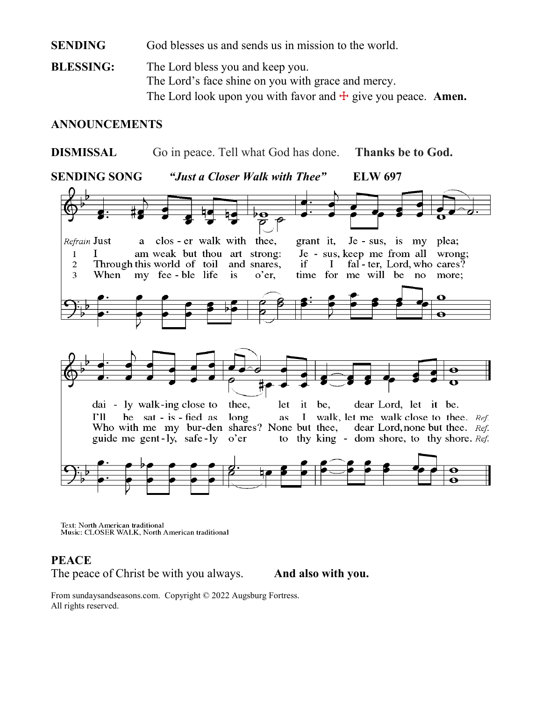#### **SENDING** God blesses us and sends us in mission to the world.

**BLESSING:** The Lord bless you and keep you. The Lord's face shine on you with grace and mercy. The Lord look upon you with favor and  $\pm$  give you peace. **Amen.** 

#### **ANNOUNCEMENTS**

**DISMISSAL** Go in peace. Tell what God has done. **Thanks be to God.**

**SENDING SONG** *"Just a Closer Walk with Thee"* **ELW 697** 



Text: North American traditional Music: CLOSER WALK, North American traditional

#### **PEACE**

The peace of Christ be with you always. **And also with you.**

From sundaysandseasons.com. Copyright © 2022 Augsburg Fortress. All rights reserved.